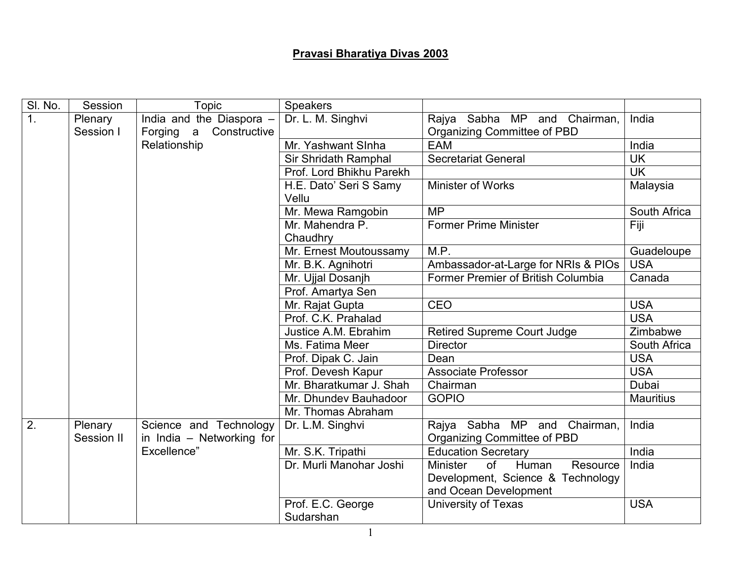## Pravasi Bharatiya Divas 2003

| SI. No.          | Session    | <b>Topic</b>                              | <b>Speakers</b>          |                                            |                  |
|------------------|------------|-------------------------------------------|--------------------------|--------------------------------------------|------------------|
| $\mathbf{1}$ .   | Plenary    | India and the Diaspora -                  | Dr. L. M. Singhvi        | Rajya Sabha MP and Chairman,               | India            |
|                  | Session I  | Constructive<br>Forging<br>$\overline{a}$ |                          | Organizing Committee of PBD                |                  |
|                  |            | Relationship                              | Mr. Yashwant Sinha       | <b>EAM</b>                                 | India            |
|                  |            |                                           | Sir Shridath Ramphal     | <b>Secretariat General</b>                 | <b>UK</b>        |
|                  |            |                                           | Prof. Lord Bhikhu Parekh |                                            | <b>UK</b>        |
|                  |            |                                           | H.E. Dato' Seri S Samy   | <b>Minister of Works</b>                   | Malaysia         |
|                  |            |                                           | Vellu                    |                                            |                  |
|                  |            |                                           | Mr. Mewa Ramgobin        | <b>MP</b>                                  | South Africa     |
|                  |            |                                           | Mr. Mahendra P.          | <b>Former Prime Minister</b>               | Fiji             |
|                  |            |                                           | Chaudhry                 |                                            |                  |
|                  |            |                                           | Mr. Ernest Moutoussamy   | M.P.                                       | Guadeloupe       |
|                  |            |                                           | Mr. B.K. Agnihotri       | Ambassador-at-Large for NRIs & PIOs        | <b>USA</b>       |
|                  |            |                                           | Mr. Ujjal Dosanjh        | Former Premier of British Columbia         | Canada           |
|                  |            |                                           | Prof. Amartya Sen        |                                            |                  |
|                  |            |                                           | Mr. Rajat Gupta          | <b>CEO</b>                                 | <b>USA</b>       |
|                  |            |                                           | Prof. C.K. Prahalad      |                                            | <b>USA</b>       |
|                  |            |                                           | Justice A.M. Ebrahim     | <b>Retired Supreme Court Judge</b>         | Zimbabwe         |
|                  |            |                                           | Ms. Fatima Meer          | <b>Director</b>                            | South Africa     |
|                  |            |                                           | Prof. Dipak C. Jain      | Dean                                       | <b>USA</b>       |
|                  |            |                                           | Prof. Devesh Kapur       | <b>Associate Professor</b>                 | <b>USA</b>       |
|                  |            |                                           | Mr. Bharatkumar J. Shah  | Chairman                                   | <b>Dubai</b>     |
|                  |            |                                           | Mr. Dhundev Bauhadoor    | <b>GOPIO</b>                               | <b>Mauritius</b> |
|                  |            |                                           | Mr. Thomas Abraham       |                                            |                  |
| $\overline{2}$ . | Plenary    | Science and Technology                    | Dr. L.M. Singhvi         | Rajya Sabha MP and Chairman,               | India            |
|                  | Session II | in India - Networking for                 |                          | Organizing Committee of PBD                |                  |
|                  |            | Excellence"                               | Mr. S.K. Tripathi        | <b>Education Secretary</b>                 | India            |
|                  |            |                                           | Dr. Murli Manohar Joshi  | of<br><b>Minister</b><br>Human<br>Resource | India            |
|                  |            |                                           |                          | Development, Science & Technology          |                  |
|                  |            |                                           |                          | and Ocean Development                      |                  |
|                  |            |                                           | Prof. E.C. George        | <b>University of Texas</b>                 | <b>USA</b>       |
|                  |            |                                           | Sudarshan                |                                            |                  |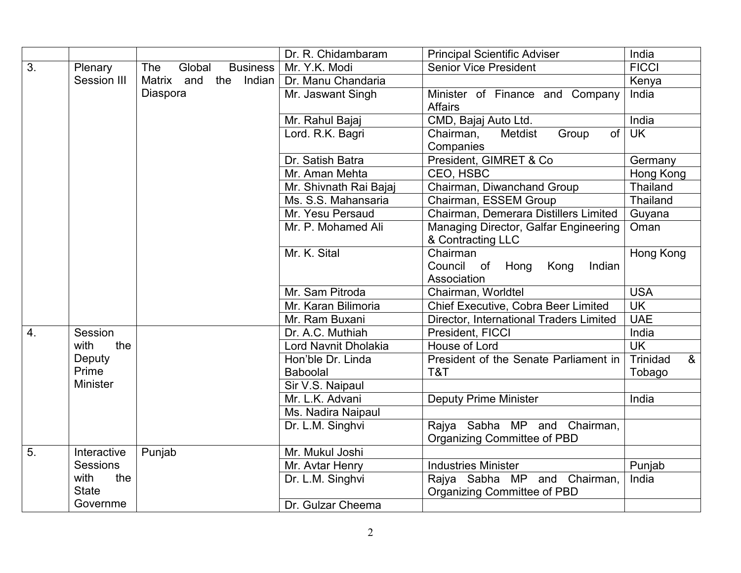|    |                 |                                  | Dr. R. Chidambaram     | <b>Principal Scientific Adviser</b>     | India            |
|----|-----------------|----------------------------------|------------------------|-----------------------------------------|------------------|
| 3. | Plenary         | Global<br>The<br><b>Business</b> | Mr. Y.K. Modi          | <b>Senior Vice President</b>            | <b>FICCI</b>     |
|    | Session III     | Matrix and<br>the Indian         | Dr. Manu Chandaria     |                                         | Kenya            |
|    |                 | Diaspora                         | Mr. Jaswant Singh      | Minister of Finance and Company         | India            |
|    |                 |                                  |                        | <b>Affairs</b>                          |                  |
|    |                 |                                  | Mr. Rahul Bajaj        | CMD, Bajaj Auto Ltd.                    | India            |
|    |                 |                                  | Lord. R.K. Bagri       | of<br>Chairman,<br>Metdist<br>Group     | <b>UK</b>        |
|    |                 |                                  |                        | Companies                               |                  |
|    |                 |                                  | Dr. Satish Batra       | President, GIMRET & Co.                 | Germany          |
|    |                 |                                  | Mr. Aman Mehta         | CEO, HSBC                               | Hong Kong        |
|    |                 |                                  | Mr. Shivnath Rai Bajaj | Chairman, Diwanchand Group              | Thailand         |
|    |                 |                                  | Ms. S.S. Mahansaria    | Chairman, ESSEM Group                   | Thailand         |
|    |                 |                                  | Mr. Yesu Persaud       | Chairman, Demerara Distillers Limited   | Guyana           |
|    |                 |                                  | Mr. P. Mohamed Ali     | Managing Director, Galfar Engineering   | Oman             |
|    |                 |                                  |                        | & Contracting LLC                       |                  |
|    |                 |                                  | Mr. K. Sital           | Chairman                                | Hong Kong        |
|    |                 |                                  |                        | Council of<br>Indian<br>Hong<br>Kong    |                  |
|    |                 |                                  |                        | Association                             |                  |
|    |                 |                                  | Mr. Sam Pitroda        | Chairman, Worldtel                      | <b>USA</b>       |
|    |                 |                                  | Mr. Karan Bilimoria    | Chief Executive, Cobra Beer Limited     | <b>UK</b>        |
|    |                 |                                  | Mr. Ram Buxani         | Director, International Traders Limited | <b>UAE</b>       |
| 4. | Session         |                                  | Dr. A.C. Muthiah       | President, FICCI                        | India            |
|    | the<br>with     |                                  | Lord Navnit Dholakia   | House of Lord                           | <b>UK</b>        |
|    | Deputy          |                                  | Hon'ble Dr. Linda      | President of the Senate Parliament in   | Trinidad<br>$\&$ |
|    | Prime           |                                  | <b>Baboolal</b>        | T&T                                     | Tobago           |
|    | Minister        |                                  | Sir V.S. Naipaul       |                                         |                  |
|    |                 |                                  | Mr. L.K. Advani        | <b>Deputy Prime Minister</b>            | India            |
|    |                 |                                  | Ms. Nadira Naipaul     |                                         |                  |
|    |                 |                                  | Dr. L.M. Singhvi       | Rajya Sabha MP and Chairman,            |                  |
|    |                 |                                  |                        | Organizing Committee of PBD             |                  |
| 5. | Interactive     | Punjab                           | Mr. Mukul Joshi        |                                         |                  |
|    | <b>Sessions</b> |                                  | Mr. Avtar Henry        | <b>Industries Minister</b>              | Punjab           |
|    | with<br>the     |                                  | Dr. L.M. Singhvi       | Rajya Sabha MP and Chairman,            | India            |
|    | <b>State</b>    |                                  |                        | Organizing Committee of PBD             |                  |
|    | Governme        |                                  | Dr. Gulzar Cheema      |                                         |                  |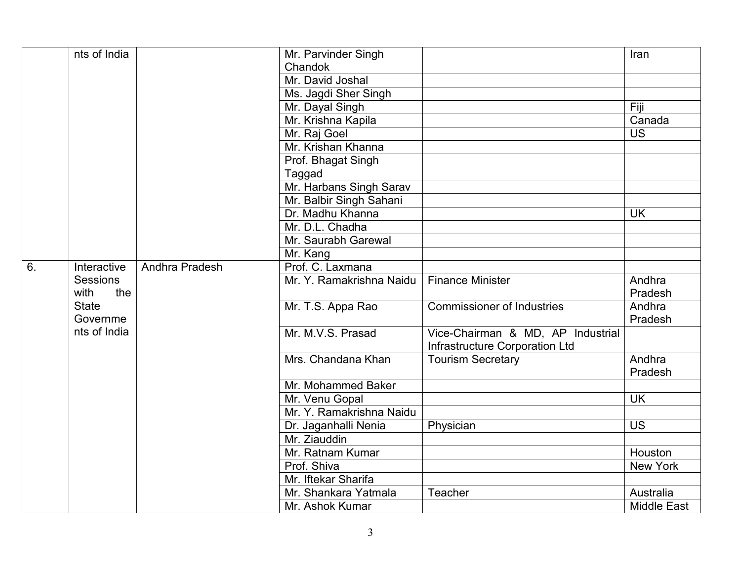|    | nts of India    |                | Mr. Parvinder Singh      |                                   | Iran               |
|----|-----------------|----------------|--------------------------|-----------------------------------|--------------------|
|    |                 |                | Chandok                  |                                   |                    |
|    |                 |                | Mr. David Joshal         |                                   |                    |
|    |                 |                | Ms. Jagdi Sher Singh     |                                   |                    |
|    |                 |                | Mr. Dayal Singh          |                                   | Fiji               |
|    |                 |                | Mr. Krishna Kapila       |                                   | Canada             |
|    |                 |                | Mr. Raj Goel             |                                   | <b>US</b>          |
|    |                 |                | Mr. Krishan Khanna       |                                   |                    |
|    |                 |                | Prof. Bhagat Singh       |                                   |                    |
|    |                 |                | Taggad                   |                                   |                    |
|    |                 |                | Mr. Harbans Singh Sarav  |                                   |                    |
|    |                 |                | Mr. Balbir Singh Sahani  |                                   |                    |
|    |                 |                | Dr. Madhu Khanna         |                                   | <b>UK</b>          |
|    |                 |                | Mr. D.L. Chadha          |                                   |                    |
|    |                 |                | Mr. Saurabh Garewal      |                                   |                    |
|    |                 |                | Mr. Kang                 |                                   |                    |
| 6. | Interactive     | Andhra Pradesh | Prof. C. Laxmana         |                                   |                    |
|    | <b>Sessions</b> |                | Mr. Y. Ramakrishna Naidu | <b>Finance Minister</b>           | Andhra             |
|    | with<br>the     |                |                          |                                   | Pradesh            |
|    | <b>State</b>    |                | Mr. T.S. Appa Rao        | <b>Commissioner of Industries</b> | Andhra             |
|    | Governme        |                |                          |                                   | Pradesh            |
|    | nts of India    |                | Mr. M.V.S. Prasad        | Vice-Chairman & MD, AP Industrial |                    |
|    |                 |                |                          | Infrastructure Corporation Ltd    |                    |
|    |                 |                | Mrs. Chandana Khan       | <b>Tourism Secretary</b>          | Andhra             |
|    |                 |                |                          |                                   | Pradesh            |
|    |                 |                | Mr. Mohammed Baker       |                                   |                    |
|    |                 |                | Mr. Venu Gopal           |                                   | <b>UK</b>          |
|    |                 |                | Mr. Y. Ramakrishna Naidu |                                   |                    |
|    |                 |                | Dr. Jaganhalli Nenia     | Physician                         | <b>US</b>          |
|    |                 |                | Mr. Ziauddin             |                                   |                    |
|    |                 |                | Mr. Ratnam Kumar         |                                   | Houston            |
|    |                 |                | Prof. Shiva              |                                   | <b>New York</b>    |
|    |                 |                | Mr. Iftekar Sharifa      |                                   |                    |
|    |                 |                | Mr. Shankara Yatmala     | Teacher                           | Australia          |
|    |                 |                | Mr. Ashok Kumar          |                                   | <b>Middle East</b> |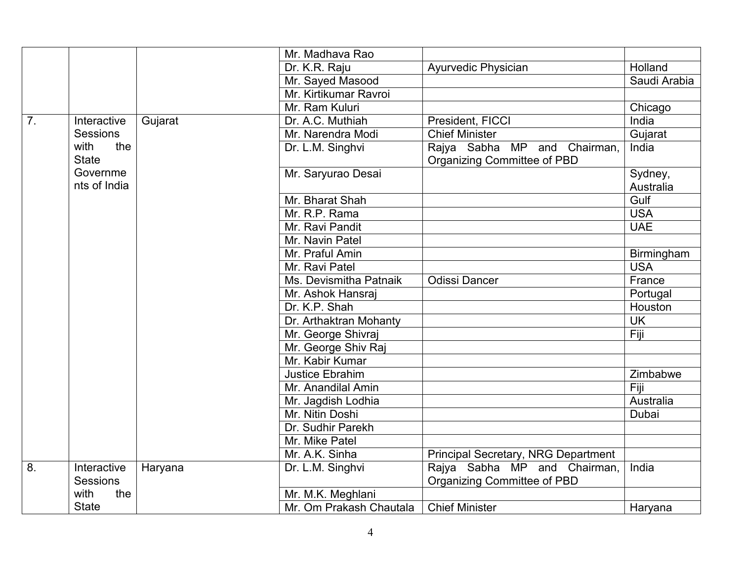|                |                 |         | Mr. Madhava Rao         |                                            |                 |
|----------------|-----------------|---------|-------------------------|--------------------------------------------|-----------------|
|                |                 |         | Dr. K.R. Raju           | <b>Ayurvedic Physician</b>                 | Holland         |
|                |                 |         | Mr. Sayed Masood        |                                            | Saudi Arabia    |
|                |                 |         | Mr. Kirtikumar Ravroi   |                                            |                 |
|                |                 |         | Mr. Ram Kuluri          |                                            | Chicago         |
| 7 <sub>1</sub> | Interactive     | Gujarat | Dr. A.C. Muthiah        | President, FICCI                           | India           |
|                | <b>Sessions</b> |         | Mr. Narendra Modi       | <b>Chief Minister</b>                      | Gujarat         |
|                | the<br>with     |         | Dr. L.M. Singhvi        | Rajya Sabha MP and Chairman,               | India           |
|                | <b>State</b>    |         |                         | Organizing Committee of PBD                |                 |
|                | Governme        |         | Mr. Saryurao Desai      |                                            | Sydney,         |
|                | nts of India    |         |                         |                                            | Australia       |
|                |                 |         | Mr. Bharat Shah         |                                            | Gulf            |
|                |                 |         | Mr. R.P. Rama           |                                            | <b>USA</b>      |
|                |                 |         | Mr. Ravi Pandit         |                                            | <b>UAE</b>      |
|                |                 |         | Mr. Navin Patel         |                                            |                 |
|                |                 |         | Mr. Praful Amin         |                                            | Birmingham      |
|                |                 |         | Mr. Ravi Patel          |                                            | <b>USA</b>      |
|                |                 |         | Ms. Devismitha Patnaik  | <b>Odissi Dancer</b>                       | France          |
|                |                 |         | Mr. Ashok Hansraj       |                                            | Portugal        |
|                |                 |         | Dr. K.P. Shah           |                                            | Houston         |
|                |                 |         | Dr. Arthaktran Mohanty  |                                            | $U\overline{K}$ |
|                |                 |         | Mr. George Shivraj      |                                            | Fiji            |
|                |                 |         | Mr. George Shiv Raj     |                                            |                 |
|                |                 |         | Mr. Kabir Kumar         |                                            |                 |
|                |                 |         | <b>Justice Ebrahim</b>  |                                            | Zimbabwe        |
|                |                 |         | Mr. Anandilal Amin      |                                            | Fiji            |
|                |                 |         | Mr. Jagdish Lodhia      |                                            | Australia       |
|                |                 |         | Mr. Nitin Doshi         |                                            | Dubai           |
|                |                 |         | Dr. Sudhir Parekh       |                                            |                 |
|                |                 |         | Mr. Mike Patel          |                                            |                 |
|                |                 |         | Mr. A.K. Sinha          | <b>Principal Secretary, NRG Department</b> |                 |
| 8.             | Interactive     | Haryana | Dr. L.M. Singhvi        | Rajya Sabha MP and Chairman,               | India           |
|                | <b>Sessions</b> |         |                         | Organizing Committee of PBD                |                 |
|                | with<br>the     |         | Mr. M.K. Meghlani       |                                            |                 |
|                | <b>State</b>    |         | Mr. Om Prakash Chautala | <b>Chief Minister</b>                      | Haryana         |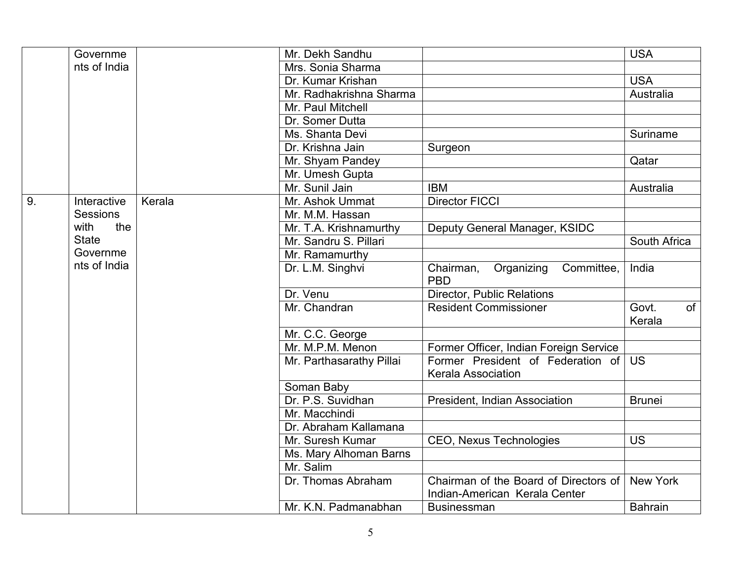|    | Governme        |        | Mr. Dekh Sandhu          |                                                                        | <b>USA</b>                   |
|----|-----------------|--------|--------------------------|------------------------------------------------------------------------|------------------------------|
|    | nts of India    |        | Mrs. Sonia Sharma        |                                                                        |                              |
|    |                 |        | Dr. Kumar Krishan        |                                                                        | <b>USA</b>                   |
|    |                 |        | Mr. Radhakrishna Sharma  |                                                                        | Australia                    |
|    |                 |        | Mr. Paul Mitchell        |                                                                        |                              |
|    |                 |        | Dr. Somer Dutta          |                                                                        |                              |
|    |                 |        | Ms. Shanta Devi          |                                                                        | Suriname                     |
|    |                 |        | Dr. Krishna Jain         | Surgeon                                                                |                              |
|    |                 |        | Mr. Shyam Pandey         |                                                                        | Qatar                        |
|    |                 |        | Mr. Umesh Gupta          |                                                                        |                              |
|    |                 |        | Mr. Sunil Jain           | <b>IBM</b>                                                             | Australia                    |
| 9. | Interactive     | Kerala | Mr. Ashok Ummat          | <b>Director FICCI</b>                                                  |                              |
|    | <b>Sessions</b> |        | Mr. M.M. Hassan          |                                                                        |                              |
|    | with<br>the     |        | Mr. T.A. Krishnamurthy   | Deputy General Manager, KSIDC                                          |                              |
|    | <b>State</b>    |        | Mr. Sandru S. Pillari    |                                                                        | South Africa                 |
|    | Governme        |        | Mr. Ramamurthy           |                                                                        |                              |
|    | nts of India    |        | Dr. L.M. Singhvi         | Organizing<br>Committee,<br>Chairman,<br><b>PBD</b>                    | India                        |
|    |                 |        | Dr. Venu                 | <b>Director, Public Relations</b>                                      |                              |
|    |                 |        | Mr. Chandran             | <b>Resident Commissioner</b>                                           | Govt.<br><b>of</b><br>Kerala |
|    |                 |        | Mr. C.C. George          |                                                                        |                              |
|    |                 |        | Mr. M.P.M. Menon         | Former Officer, Indian Foreign Service                                 |                              |
|    |                 |        | Mr. Parthasarathy Pillai | Former President of Federation of<br><b>Kerala Association</b>         | <b>US</b>                    |
|    |                 |        | Soman Baby               |                                                                        |                              |
|    |                 |        | Dr. P.S. Suvidhan        | President, Indian Association                                          | <b>Brunei</b>                |
|    |                 |        | Mr. Macchindi            |                                                                        |                              |
|    |                 |        | Dr. Abraham Kallamana    |                                                                        |                              |
|    |                 |        | Mr. Suresh Kumar         | <b>CEO, Nexus Technologies</b>                                         | <b>US</b>                    |
|    |                 |        | Ms. Mary Alhoman Barns   |                                                                        |                              |
|    |                 |        | Mr. Salim                |                                                                        |                              |
|    |                 |        | Dr. Thomas Abraham       | Chairman of the Board of Directors of<br>Indian-American Kerala Center | <b>New York</b>              |
|    |                 |        | Mr. K.N. Padmanabhan     | <b>Businessman</b>                                                     | <b>Bahrain</b>               |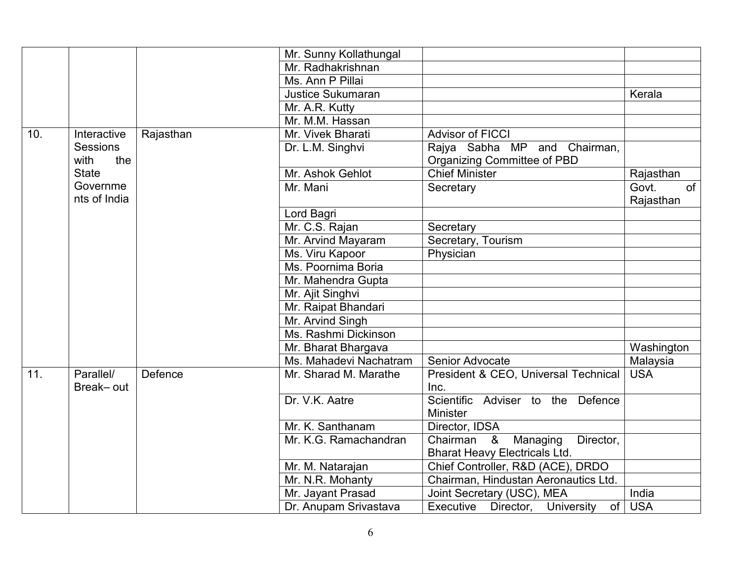|     |                 |           | Mr. Sunny Kollathungal   |                                                       |             |
|-----|-----------------|-----------|--------------------------|-------------------------------------------------------|-------------|
|     |                 |           | Mr. Radhakrishnan        |                                                       |             |
|     |                 |           | Ms. Ann P Pillai         |                                                       |             |
|     |                 |           | <b>Justice Sukumaran</b> |                                                       | Kerala      |
|     |                 |           | Mr. A.R. Kutty           |                                                       |             |
|     |                 |           | Mr. M.M. Hassan          |                                                       |             |
| 10. | Interactive     | Rajasthan | Mr. Vivek Bharati        | <b>Advisor of FICCI</b>                               |             |
|     | <b>Sessions</b> |           | Dr. L.M. Singhvi         | Rajya Sabha MP and Chairman,                          |             |
|     | with<br>the     |           |                          | Organizing Committee of PBD                           |             |
|     | <b>State</b>    |           | Mr. Ashok Gehlot         | Chief Minister                                        | Rajasthan   |
|     | Governme        |           | Mr. Mani                 | Secretary                                             | Govt.<br>of |
|     | nts of India    |           |                          |                                                       | Rajasthan   |
|     |                 |           | Lord Bagri               |                                                       |             |
|     |                 |           | Mr. C.S. Rajan           | Secretary                                             |             |
|     |                 |           | Mr. Arvind Mayaram       | Secretary, Tourism                                    |             |
|     |                 |           | Ms. Viru Kapoor          | Physician                                             |             |
|     |                 |           | Ms. Poornima Boria       |                                                       |             |
|     |                 |           | Mr. Mahendra Gupta       |                                                       |             |
|     |                 |           | Mr. Ajit Singhvi         |                                                       |             |
|     |                 |           | Mr. Raipat Bhandari      |                                                       |             |
|     |                 |           | Mr. Arvind Singh         |                                                       |             |
|     |                 |           | Ms. Rashmi Dickinson     |                                                       |             |
|     |                 |           | Mr. Bharat Bhargava      |                                                       | Washington  |
|     |                 |           | Ms. Mahadevi Nachatram   | Senior Advocate                                       | Malaysia    |
| 11. | Parallel/       | Defence   | Mr. Sharad M. Marathe    | President & CEO, Universal Technical                  | <b>USA</b>  |
|     | Break-out       |           |                          | Inc.                                                  |             |
|     |                 |           | Dr. V.K. Aatre           | Scientific Adviser to the Defence                     |             |
|     |                 |           |                          | <b>Minister</b>                                       |             |
|     |                 |           | Mr. K. Santhanam         | Director, IDSA                                        |             |
|     |                 |           | Mr. K.G. Ramachandran    | Chairman &<br>Director,<br>Managing                   |             |
|     |                 |           |                          | <b>Bharat Heavy Electricals Ltd.</b>                  |             |
|     |                 |           | Mr. M. Natarajan         | Chief Controller, R&D (ACE), DRDO                     |             |
|     |                 |           | Mr. N.R. Mohanty         | Chairman, Hindustan Aeronautics Ltd.                  |             |
|     |                 |           | Mr. Jayant Prasad        | Joint Secretary (USC), MEA                            | India       |
|     |                 |           | Dr. Anupam Srivastava    | <b>of</b><br>Executive Director,<br><b>University</b> | <b>USA</b>  |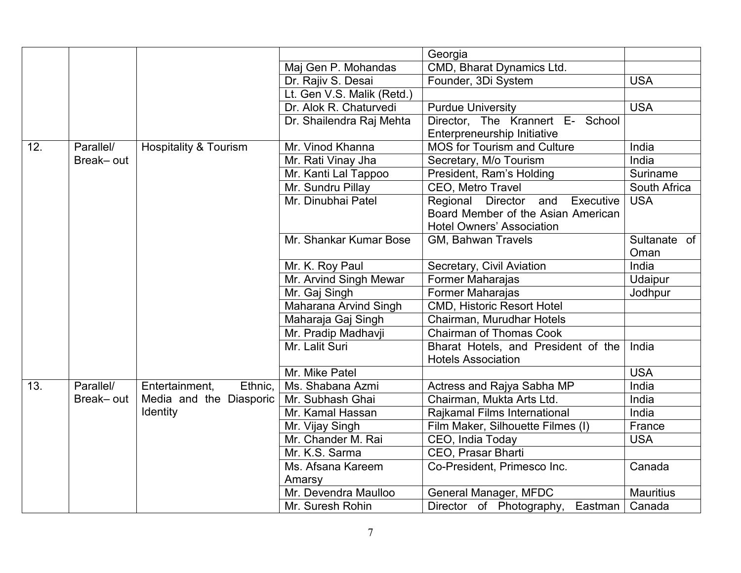|     |           |                                  |                            | Georgia                             |                  |
|-----|-----------|----------------------------------|----------------------------|-------------------------------------|------------------|
|     |           |                                  | Maj Gen P. Mohandas        | CMD, Bharat Dynamics Ltd.           |                  |
|     |           |                                  | Dr. Rajiv S. Desai         | Founder, 3Di System                 | <b>USA</b>       |
|     |           |                                  | Lt. Gen V.S. Malik (Retd.) |                                     |                  |
|     |           |                                  | Dr. Alok R. Chaturvedi     | <b>Purdue University</b>            | <b>USA</b>       |
|     |           |                                  | Dr. Shailendra Raj Mehta   | Director, The Krannert E- School    |                  |
|     |           |                                  |                            | Enterpreneurship Initiative         |                  |
| 12. | Parallel/ | <b>Hospitality &amp; Tourism</b> | Mr. Vinod Khanna           | <b>MOS for Tourism and Culture</b>  | India            |
|     | Break-out |                                  | Mr. Rati Vinay Jha         | Secretary, M/o Tourism              | India            |
|     |           |                                  | Mr. Kanti Lal Tappoo       | President, Ram's Holding            | Suriname         |
|     |           |                                  | Mr. Sundru Pillay          | CEO, Metro Travel                   | South Africa     |
|     |           |                                  | Mr. Dinubhai Patel         | Regional Director and<br>Executive  | <b>USA</b>       |
|     |           |                                  |                            | Board Member of the Asian American  |                  |
|     |           |                                  |                            | <b>Hotel Owners' Association</b>    |                  |
|     |           |                                  | Mr. Shankar Kumar Bose     | GM, Bahwan Travels                  | Sultanate of     |
|     |           |                                  |                            |                                     | Oman             |
|     |           |                                  | Mr. K. Roy Paul            | Secretary, Civil Aviation           | India            |
|     |           |                                  | Mr. Arvind Singh Mewar     | Former Maharajas                    | Udaipur          |
|     |           |                                  | Mr. Gaj Singh              | Former Maharajas                    | Jodhpur          |
|     |           |                                  | Maharana Arvind Singh      | <b>CMD, Historic Resort Hotel</b>   |                  |
|     |           |                                  | Maharaja Gaj Singh         | Chairman, Murudhar Hotels           |                  |
|     |           |                                  | Mr. Pradip Madhavji        | <b>Chairman of Thomas Cook</b>      |                  |
|     |           |                                  | Mr. Lalit Suri             | Bharat Hotels, and President of the | India            |
|     |           |                                  |                            | <b>Hotels Association</b>           |                  |
|     |           |                                  | Mr. Mike Patel             |                                     | <b>USA</b>       |
| 13. | Parallel/ | Ethnic,<br>Entertainment,        | Ms. Shabana Azmi           | Actress and Rajya Sabha MP          | India            |
|     | Break-out | Media and the Diasporic          | Mr. Subhash Ghai           | Chairman, Mukta Arts Ltd.           | India            |
|     |           | <b>Identity</b>                  | Mr. Kamal Hassan           | Rajkamal Films International        | India            |
|     |           |                                  | Mr. Vijay Singh            | Film Maker, Silhouette Filmes (I)   | France           |
|     |           |                                  | Mr. Chander M. Rai         | CEO, India Today                    | <b>USA</b>       |
|     |           |                                  | Mr. K.S. Sarma             | CEO, Prasar Bharti                  |                  |
|     |           |                                  | Ms. Afsana Kareem          | Co-President, Primesco Inc.         | Canada           |
|     |           |                                  | Amarsy                     |                                     |                  |
|     |           |                                  | Mr. Devendra Maulloo       | General Manager, MFDC               | <b>Mauritius</b> |
|     |           |                                  | Mr. Suresh Rohin           | Director of Photography,<br>Eastman | Canada           |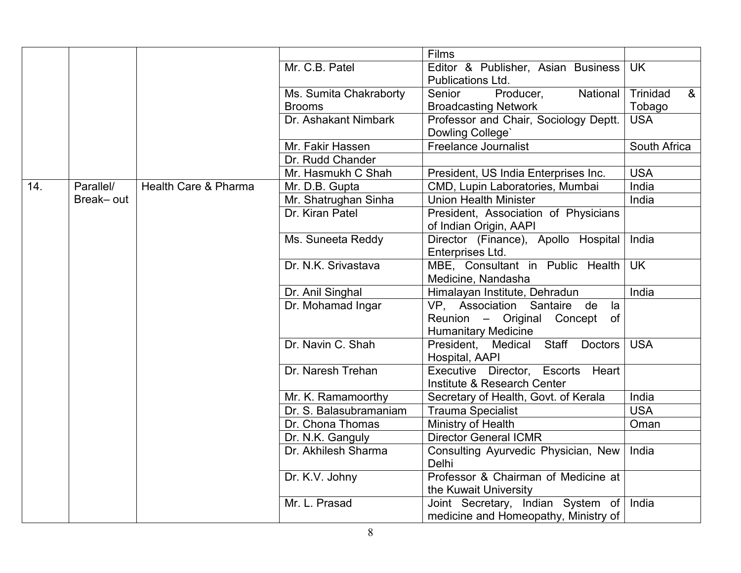|     |           |                      |                        | Films                                        |                      |
|-----|-----------|----------------------|------------------------|----------------------------------------------|----------------------|
|     |           |                      | Mr. C.B. Patel         | Editor & Publisher, Asian Business           | <b>UK</b>            |
|     |           |                      |                        | Publications Ltd.                            |                      |
|     |           |                      | Ms. Sumita Chakraborty | Producer,<br>Senior<br>National              | $\alpha$<br>Trinidad |
|     |           |                      | <b>Brooms</b>          | <b>Broadcasting Network</b>                  | Tobago               |
|     |           |                      | Dr. Ashakant Nimbark   | Professor and Chair, Sociology Deptt.        | <b>USA</b>           |
|     |           |                      |                        | Dowling College'                             |                      |
|     |           |                      | Mr. Fakir Hassen       | <b>Freelance Journalist</b>                  | South Africa         |
|     |           |                      | Dr. Rudd Chander       |                                              |                      |
|     |           |                      | Mr. Hasmukh C Shah     | President, US India Enterprises Inc.         | <b>USA</b>           |
| 14. | Parallel/ | Health Care & Pharma | Mr. D.B. Gupta         | CMD, Lupin Laboratories, Mumbai              | India                |
|     | Break-out |                      | Mr. Shatrughan Sinha   | <b>Union Health Minister</b>                 | India                |
|     |           |                      | Dr. Kiran Patel        | President, Association of Physicians         |                      |
|     |           |                      |                        | of Indian Origin, AAPI                       |                      |
|     |           |                      | Ms. Suneeta Reddy      | Director (Finance), Apollo Hospital          | India                |
|     |           |                      |                        | Enterprises Ltd.                             |                      |
|     |           |                      | Dr. N.K. Srivastava    | MBE, Consultant in Public Health             | <b>UK</b>            |
|     |           |                      |                        | Medicine, Nandasha                           |                      |
|     |           |                      | Dr. Anil Singhal       | Himalayan Institute, Dehradun                | India                |
|     |           |                      | Dr. Mohamad Ingar      | VP, Association Santaire de<br>la            |                      |
|     |           |                      |                        | Reunion - Original Concept of                |                      |
|     |           |                      |                        | <b>Humanitary Medicine</b>                   |                      |
|     |           |                      | Dr. Navin C. Shah      | Staff Doctors<br>President, Medical          | <b>USA</b>           |
|     |           |                      |                        | Hospital, AAPI                               |                      |
|     |           |                      | Dr. Naresh Trehan      | Executive Director, Escorts<br>Heart         |                      |
|     |           |                      |                        | Institute & Research Center                  |                      |
|     |           |                      | Mr. K. Ramamoorthy     | Secretary of Health, Govt. of Kerala         | India                |
|     |           |                      | Dr. S. Balasubramaniam | <b>Trauma Specialist</b>                     | <b>USA</b>           |
|     |           |                      | Dr. Chona Thomas       | Ministry of Health                           | Oman                 |
|     |           |                      | Dr. N.K. Ganguly       | <b>Director General ICMR</b>                 |                      |
|     |           |                      | Dr. Akhilesh Sharma    | Consulting Ayurvedic Physician, New<br>Delhi | India                |
|     |           |                      | Dr. K.V. Johny         | Professor & Chairman of Medicine at          |                      |
|     |           |                      |                        | the Kuwait University                        |                      |
|     |           |                      | Mr. L. Prasad          | Joint Secretary, Indian System of            | India                |
|     |           |                      |                        | medicine and Homeopathy, Ministry of         |                      |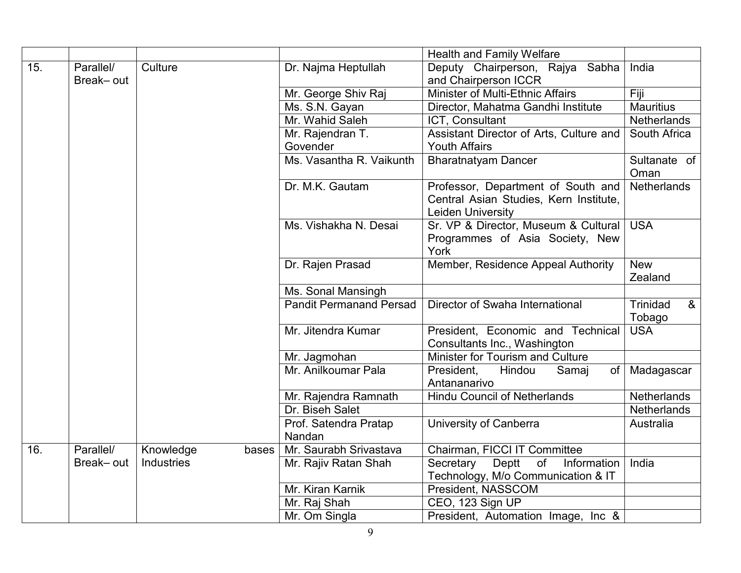|     |                        |            |       |                                | <b>Health and Family Welfare</b>                                                                         |                                      |
|-----|------------------------|------------|-------|--------------------------------|----------------------------------------------------------------------------------------------------------|--------------------------------------|
| 15. | Parallel/<br>Break-out | Culture    |       | Dr. Najma Heptullah            | Deputy Chairperson, Rajya Sabha<br>and Chairperson ICCR                                                  | India                                |
|     |                        |            |       | Mr. George Shiv Raj            | Minister of Multi-Ethnic Affairs                                                                         | Fiji                                 |
|     |                        |            |       | Ms. S.N. Gayan                 | Director, Mahatma Gandhi Institute                                                                       | <b>Mauritius</b>                     |
|     |                        |            |       | Mr. Wahid Saleh                | ICT, Consultant                                                                                          | Netherlands                          |
|     |                        |            |       | Mr. Rajendran T.               | Assistant Director of Arts, Culture and                                                                  | South Africa                         |
|     |                        |            |       | Govender                       | <b>Youth Affairs</b>                                                                                     |                                      |
|     |                        |            |       | Ms. Vasantha R. Vaikunth       | <b>Bharatnatyam Dancer</b>                                                                               | Sultanate of<br>Oman                 |
|     |                        |            |       | Dr. M.K. Gautam                | Professor, Department of South and<br>Central Asian Studies, Kern Institute,<br><b>Leiden University</b> | <b>Netherlands</b>                   |
|     |                        |            |       | Ms. Vishakha N. Desai          | Sr. VP & Director, Museum & Cultural<br>Programmes of Asia Society, New<br>York                          | <b>USA</b>                           |
|     |                        |            |       | Dr. Rajen Prasad               | Member, Residence Appeal Authority                                                                       | <b>New</b><br>Zealand                |
|     |                        |            |       | Ms. Sonal Mansingh             |                                                                                                          |                                      |
|     |                        |            |       | <b>Pandit Permanand Persad</b> | Director of Swaha International                                                                          | Trinidad<br>8 <sub>o</sub><br>Tobago |
|     |                        |            |       | Mr. Jitendra Kumar             | President, Economic and Technical<br>Consultants Inc., Washington                                        | <b>USA</b>                           |
|     |                        |            |       | Mr. Jagmohan                   | Minister for Tourism and Culture                                                                         |                                      |
|     |                        |            |       | Mr. Anilkoumar Pala            | President,<br>Hindou<br>Samaj<br>of<br>Antananarivo                                                      | Madagascar                           |
|     |                        |            |       | Mr. Rajendra Ramnath           | <b>Hindu Council of Netherlands</b>                                                                      | Netherlands                          |
|     |                        |            |       | Dr. Biseh Salet                |                                                                                                          | <b>Netherlands</b>                   |
|     |                        |            |       | Prof. Satendra Pratap          | University of Canberra                                                                                   | Australia                            |
|     |                        |            |       | Nandan                         |                                                                                                          |                                      |
| 16. | Parallel/              | Knowledge  | bases | Mr. Saurabh Srivastava         | Chairman, FICCI IT Committee                                                                             |                                      |
|     | Break-out              | Industries |       | Mr. Rajiv Ratan Shah           | Deptt of<br>Secretary<br>Information<br>Technology, M/o Communication & IT                               | India                                |
|     |                        |            |       | Mr. Kiran Karnik               | President, NASSCOM                                                                                       |                                      |
|     |                        |            |       | Mr. Raj Shah                   | CEO, 123 Sign UP                                                                                         |                                      |
|     |                        |            |       | Mr. Om Singla                  | President, Automation Image, Inc &                                                                       |                                      |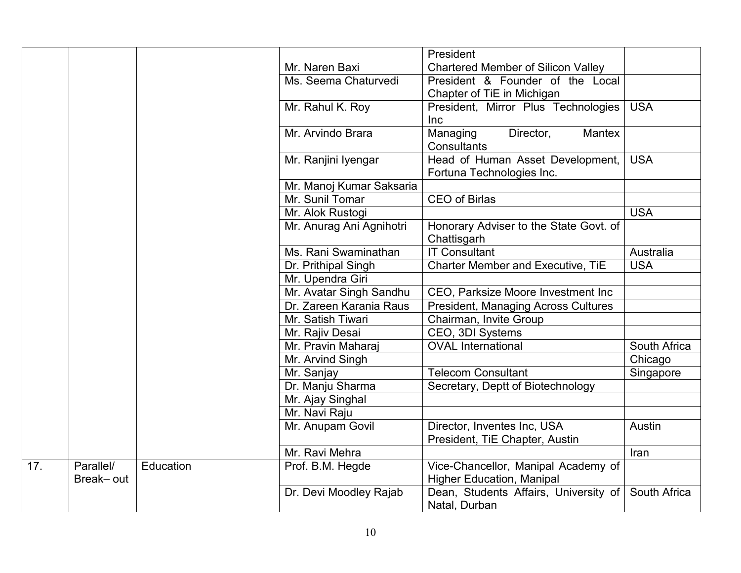|     |           |           |                          | President                                  |              |
|-----|-----------|-----------|--------------------------|--------------------------------------------|--------------|
|     |           |           | Mr. Naren Baxi           | <b>Chartered Member of Silicon Valley</b>  |              |
|     |           |           | Ms. Seema Chaturvedi     | President & Founder of the Local           |              |
|     |           |           |                          | Chapter of TiE in Michigan                 |              |
|     |           |           | Mr. Rahul K. Roy         | President, Mirror Plus Technologies        | <b>USA</b>   |
|     |           |           |                          | Inc                                        |              |
|     |           |           | Mr. Arvindo Brara        | Director,<br>Mantex<br>Managing            |              |
|     |           |           |                          | <b>Consultants</b>                         |              |
|     |           |           | Mr. Ranjini Iyengar      | Head of Human Asset Development,           | <b>USA</b>   |
|     |           |           |                          | Fortuna Technologies Inc.                  |              |
|     |           |           | Mr. Manoj Kumar Saksaria |                                            |              |
|     |           |           | Mr. Sunil Tomar          | <b>CEO of Birlas</b>                       |              |
|     |           |           | Mr. Alok Rustogi         |                                            | <b>USA</b>   |
|     |           |           | Mr. Anurag Ani Agnihotri | Honorary Adviser to the State Govt. of     |              |
|     |           |           |                          | Chattisgarh                                |              |
|     |           |           | Ms. Rani Swaminathan     | <b>IT Consultant</b>                       | Australia    |
|     |           |           | Dr. Prithipal Singh      | Charter Member and Executive, TiE          | <b>USA</b>   |
|     |           |           | Mr. Upendra Giri         |                                            |              |
|     |           |           | Mr. Avatar Singh Sandhu  | CEO, Parksize Moore Investment Inc         |              |
|     |           |           | Dr. Zareen Karania Raus  | <b>President, Managing Across Cultures</b> |              |
|     |           |           | Mr. Satish Tiwari        | Chairman, Invite Group                     |              |
|     |           |           | Mr. Rajiv Desai          | CEO, 3DI Systems                           |              |
|     |           |           | Mr. Pravin Maharaj       | <b>OVAL International</b>                  | South Africa |
|     |           |           | Mr. Arvind Singh         |                                            | Chicago      |
|     |           |           | Mr. Sanjay               | <b>Telecom Consultant</b>                  | Singapore    |
|     |           |           | Dr. Manju Sharma         | Secretary, Deptt of Biotechnology          |              |
|     |           |           | Mr. Ajay Singhal         |                                            |              |
|     |           |           | Mr. Navi Raju            |                                            |              |
|     |           |           | Mr. Anupam Govil         | Director, Inventes Inc, USA                | Austin       |
|     |           |           |                          | President, TiE Chapter, Austin             |              |
|     |           |           | Mr. Ravi Mehra           |                                            | Iran         |
| 17. | Parallel/ | Education | Prof. B.M. Hegde         | Vice-Chancellor, Manipal Academy of        |              |
|     | Break-out |           |                          | <b>Higher Education, Manipal</b>           |              |
|     |           |           | Dr. Devi Moodley Rajab   | Dean, Students Affairs, University of      | South Africa |
|     |           |           |                          | Natal, Durban                              |              |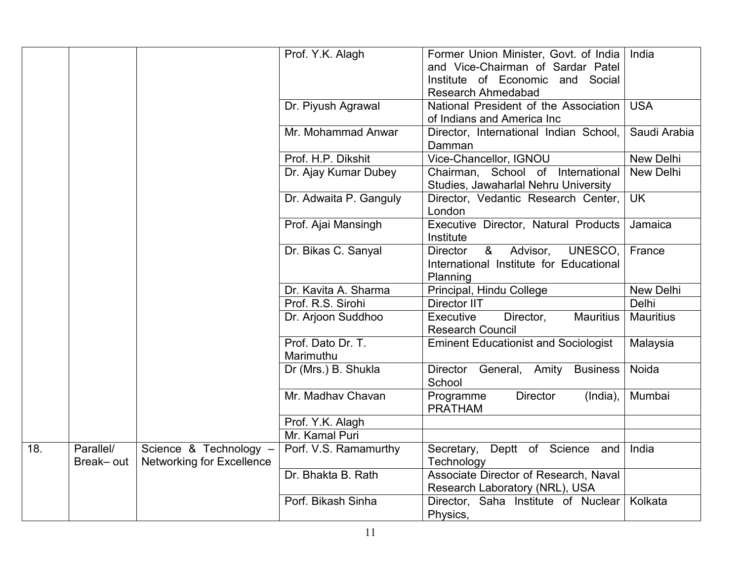|     |                        |                                                            | Prof. Y.K. Alagh               | Former Union Minister, Govt. of India<br>and Vice-Chairman of Sardar Patel<br>Institute of Economic and Social<br><b>Research Ahmedabad</b> | India            |
|-----|------------------------|------------------------------------------------------------|--------------------------------|---------------------------------------------------------------------------------------------------------------------------------------------|------------------|
|     |                        |                                                            | Dr. Piyush Agrawal             | National President of the Association<br>of Indians and America Inc                                                                         | <b>USA</b>       |
|     |                        |                                                            | Mr. Mohammad Anwar             | Director, International Indian School,<br>Damman                                                                                            | Saudi Arabia     |
|     |                        |                                                            | Prof. H.P. Dikshit             | Vice-Chancellor, IGNOU                                                                                                                      | New Delhi        |
|     |                        |                                                            | Dr. Ajay Kumar Dubey           | Chairman, School of International<br>Studies, Jawaharlal Nehru University                                                                   | New Delhi        |
|     |                        |                                                            | Dr. Adwaita P. Ganguly         | Director, Vedantic Research Center,<br>London                                                                                               | <b>UK</b>        |
|     |                        |                                                            | Prof. Ajai Mansingh            | Executive Director, Natural Products<br>Institute                                                                                           | Jamaica          |
|     |                        |                                                            | Dr. Bikas C. Sanyal            | UNESCO,<br><b>Director</b><br>&<br>Advisor,<br>International Institute for Educational<br>Planning                                          | France           |
|     |                        |                                                            | Dr. Kavita A. Sharma           | Principal, Hindu College                                                                                                                    | New Delhi        |
|     |                        |                                                            | Prof. R.S. Sirohi              | <b>Director IIT</b>                                                                                                                         | Delhi            |
|     |                        |                                                            | Dr. Arjoon Suddhoo             | Executive<br>Director,<br><b>Mauritius</b><br><b>Research Council</b>                                                                       | <b>Mauritius</b> |
|     |                        |                                                            | Prof. Dato Dr. T.<br>Marimuthu | <b>Eminent Educationist and Sociologist</b>                                                                                                 | Malaysia         |
|     |                        |                                                            | Dr (Mrs.) B. Shukla            | Director General, Amity<br><b>Business</b><br>School                                                                                        | Noida            |
|     |                        |                                                            | Mr. Madhay Chavan              | <b>Director</b><br>Programme<br>(India),<br><b>PRATHAM</b>                                                                                  | Mumbai           |
|     |                        |                                                            | Prof. Y.K. Alagh               |                                                                                                                                             |                  |
|     |                        |                                                            | Mr. Kamal Puri                 |                                                                                                                                             |                  |
| 18. | Parallel/<br>Break-out | Science & Technology -<br><b>Networking for Excellence</b> | Porf. V.S. Ramamurthy          | Secretary, Deptt of Science and<br>Technology                                                                                               | India            |
|     |                        |                                                            | Dr. Bhakta B. Rath             | Associate Director of Research, Naval<br>Research Laboratory (NRL), USA                                                                     |                  |
|     |                        |                                                            | Porf. Bikash Sinha             | Director, Saha Institute of Nuclear<br>Physics,                                                                                             | Kolkata          |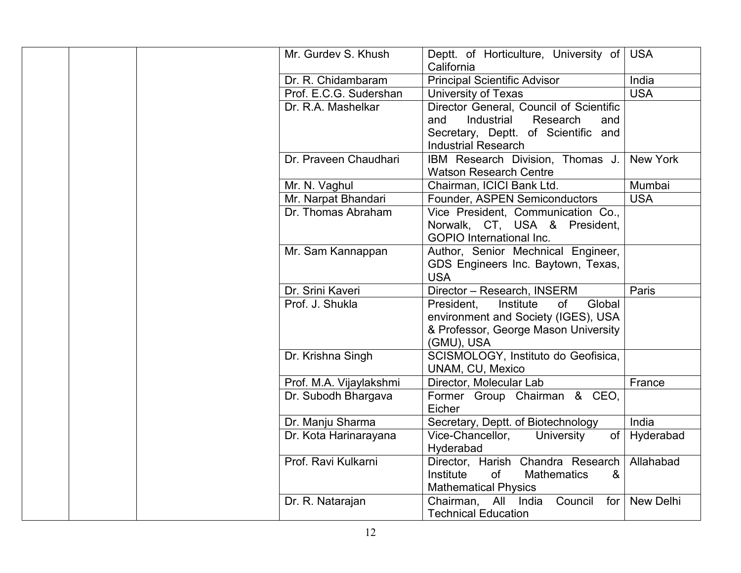| Deptt. of Horticulture, University of USA     |
|-----------------------------------------------|
|                                               |
|                                               |
|                                               |
|                                               |
|                                               |
|                                               |
|                                               |
| New York                                      |
|                                               |
| Mumbai                                        |
| <b>USA</b>                                    |
|                                               |
|                                               |
|                                               |
|                                               |
|                                               |
|                                               |
| Paris                                         |
|                                               |
|                                               |
|                                               |
|                                               |
|                                               |
|                                               |
| France                                        |
|                                               |
|                                               |
| India                                         |
| of   Hyderabad                                |
|                                               |
| Director, Harish Chandra Research   Allahabad |
|                                               |
|                                               |
| Council for New Delhi                         |
|                                               |
| India<br><b>USA</b>                           |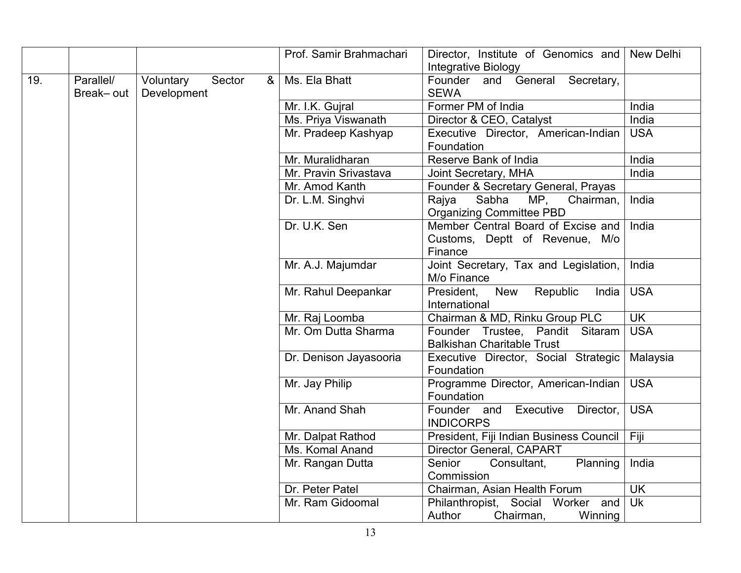|     |           |             |        |   | Prof. Samir Brahmachari | Director, Institute of Genomics and New Delhi |                          |
|-----|-----------|-------------|--------|---|-------------------------|-----------------------------------------------|--------------------------|
|     |           |             |        |   |                         | Integrative Biology                           |                          |
| 19. | Parallel/ | Voluntary   | Sector | & | Ms. Ela Bhatt           | Founder and General Secretary,                |                          |
|     | Break-out | Development |        |   |                         | <b>SEWA</b>                                   |                          |
|     |           |             |        |   | Mr. I.K. Gujral         | Former PM of India                            | India                    |
|     |           |             |        |   | Ms. Priya Viswanath     | Director & CEO, Catalyst                      | India                    |
|     |           |             |        |   | Mr. Pradeep Kashyap     | Executive Director, American-Indian           | <b>USA</b>               |
|     |           |             |        |   |                         | Foundation                                    |                          |
|     |           |             |        |   | Mr. Muralidharan        | Reserve Bank of India                         | India                    |
|     |           |             |        |   | Mr. Pravin Srivastava   | Joint Secretary, MHA                          | India                    |
|     |           |             |        |   | Mr. Amod Kanth          | Founder & Secretary General, Prayas           |                          |
|     |           |             |        |   | Dr. L.M. Singhvi        | Sabha<br>Rajya<br>MP,<br>Chairman,            | India                    |
|     |           |             |        |   |                         | <b>Organizing Committee PBD</b>               |                          |
|     |           |             |        |   | Dr. U.K. Sen            | Member Central Board of Excise and            | India                    |
|     |           |             |        |   |                         | Customs, Deptt of Revenue, M/o                |                          |
|     |           |             |        |   |                         | Finance                                       |                          |
|     |           |             |        |   | Mr. A.J. Majumdar       | Joint Secretary, Tax and Legislation,         | India                    |
|     |           |             |        |   |                         | M/o Finance                                   |                          |
|     |           |             |        |   | Mr. Rahul Deepankar     | Republic<br>President,<br>New<br>India        | <b>USA</b>               |
|     |           |             |        |   |                         | International                                 |                          |
|     |           |             |        |   | Mr. Raj Loomba          | Chairman & MD, Rinku Group PLC                | $\overline{\mathsf{UK}}$ |
|     |           |             |        |   | Mr. Om Dutta Sharma     | Founder Trustee, Pandit Sitaram               | <b>USA</b>               |
|     |           |             |        |   |                         | <b>Balkishan Charitable Trust</b>             |                          |
|     |           |             |        |   | Dr. Denison Jayasooria  | Executive Director, Social Strategic          | Malaysia                 |
|     |           |             |        |   |                         | Foundation                                    |                          |
|     |           |             |        |   | Mr. Jay Philip          | Programme Director, American-Indian           | <b>USA</b>               |
|     |           |             |        |   |                         | Foundation                                    |                          |
|     |           |             |        |   | Mr. Anand Shah          | Founder and<br>Executive<br>Director,         | <b>USA</b>               |
|     |           |             |        |   |                         | <b>INDICORPS</b>                              |                          |
|     |           |             |        |   | Mr. Dalpat Rathod       | President, Fiji Indian Business Council       | Fiji                     |
|     |           |             |        |   | Ms. Komal Anand         | Director General, CAPART                      |                          |
|     |           |             |        |   | Mr. Rangan Dutta        | Senior<br>Consultant,<br>Planning             | India                    |
|     |           |             |        |   |                         | Commission                                    |                          |
|     |           |             |        |   | Dr. Peter Patel         | Chairman, Asian Health Forum                  | <b>UK</b>                |
|     |           |             |        |   | Mr. Ram Gidoomal        | Philanthropist, Social Worker and             | <b>Uk</b>                |
|     |           |             |        |   |                         | Author<br>Chairman,<br>Winning                |                          |